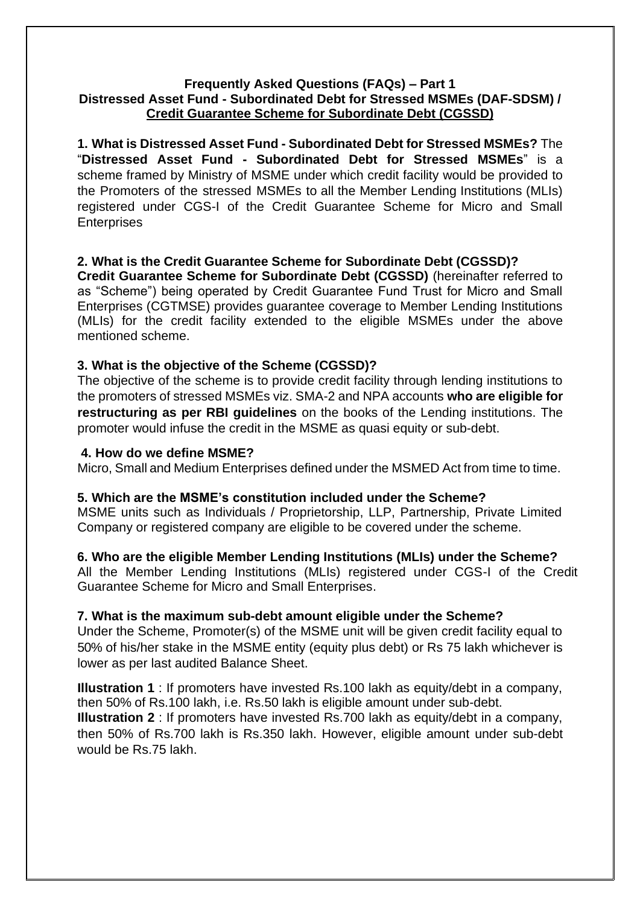#### **Frequently Asked Questions (FAQs) – Part 1 Distressed Asset Fund - Subordinated Debt for Stressed MSMEs (DAF-SDSM) / Credit Guarantee Scheme for Subordinate Debt (CGSSD)**

**1. What is Distressed Asset Fund - Subordinated Debt for Stressed MSMEs?** The "**Distressed Asset Fund - Subordinated Debt for Stressed MSMEs**" is a scheme framed by Ministry of MSME under which credit facility would be provided to the Promoters of the stressed MSMEs to all the Member Lending Institutions (MLIs) registered under CGS-I of the Credit Guarantee Scheme for Micro and Small **Enterprises** 

## **2. What is the Credit Guarantee Scheme for Subordinate Debt (CGSSD)?**

**Credit Guarantee Scheme for Subordinate Debt (CGSSD)** (hereinafter referred to as "Scheme") being operated by Credit Guarantee Fund Trust for Micro and Small Enterprises (CGTMSE) provides guarantee coverage to Member Lending Institutions (MLIs) for the credit facility extended to the eligible MSMEs under the above mentioned scheme.

### **3. What is the objective of the Scheme (CGSSD)?**

The objective of the scheme is to provide credit facility through lending institutions to the promoters of stressed MSMEs viz. SMA-2 and NPA accounts **who are eligible for restructuring as per RBI guidelines** on the books of the Lending institutions. The promoter would infuse the credit in the MSME as quasi equity or sub-debt.

#### **4. How do we define MSME?**

Micro, Small and Medium Enterprises defined under the MSMED Act from time to time.

### **5. Which are the MSME's constitution included under the Scheme?**

MSME units such as Individuals / Proprietorship, LLP, Partnership, Private Limited Company or registered company are eligible to be covered under the scheme.

### **6. Who are the eligible Member Lending Institutions (MLIs) under the Scheme?**

All the Member Lending Institutions (MLIs) registered under CGS-I of the Credit Guarantee Scheme for Micro and Small Enterprises.

### **7. What is the maximum sub-debt amount eligible under the Scheme?**

Under the Scheme, Promoter(s) of the MSME unit will be given credit facility equal to 50% of his/her stake in the MSME entity (equity plus debt) or Rs 75 lakh whichever is lower as per last audited Balance Sheet.

**Illustration 1** : If promoters have invested Rs.100 lakh as equity/debt in a company, then 50% of Rs.100 lakh, i.e. Rs.50 lakh is eligible amount under sub-debt. **Illustration 2** : If promoters have invested Rs.700 lakh as equity/debt in a company, then 50% of Rs.700 lakh is Rs.350 lakh. However, eligible amount under sub-debt would be Rs.75 lakh.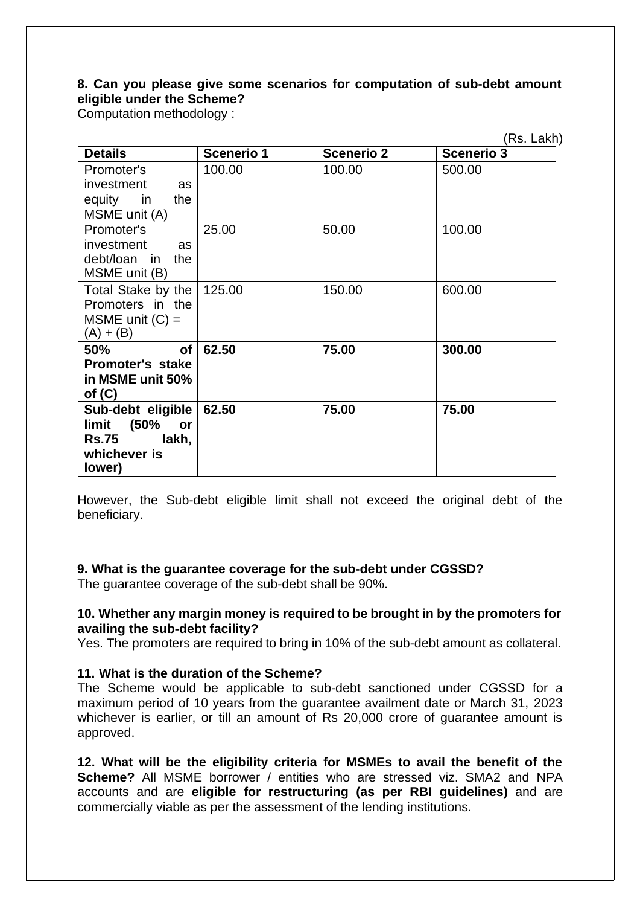## **8. Can you please give some scenarios for computation of sub-debt amount eligible under the Scheme?**

Computation methodology :

|                         |                   |                   | (Rs. Lakh)        |
|-------------------------|-------------------|-------------------|-------------------|
| <b>Details</b>          | <b>Scenerio 1</b> | <b>Scenerio 2</b> | <b>Scenerio 3</b> |
| Promoter's              | 100.00            | 100.00            | 500.00            |
| investment<br>as        |                   |                   |                   |
| equity in<br>the        |                   |                   |                   |
| MSME unit (A)           |                   |                   |                   |
| Promoter's              | 25.00             | 50.00             | 100.00            |
| investment<br>as        |                   |                   |                   |
| debt/loan in<br>the     |                   |                   |                   |
| MSME unit (B)           |                   |                   |                   |
| Total Stake by the      | 125.00            | 150.00            | 600.00            |
| Promoters in the        |                   |                   |                   |
| MSME unit $(C)$ =       |                   |                   |                   |
| $(A) + (B)$             |                   |                   |                   |
| <b>of</b><br>50%        | 62.50             | 75.00             | 300.00            |
| <b>Promoter's stake</b> |                   |                   |                   |
| in MSME unit 50%        |                   |                   |                   |
| of $(C)$                |                   |                   |                   |
| Sub-debt eligible       | 62.50             | 75.00             | 75.00             |
| (50%<br>limit<br>or     |                   |                   |                   |
| lakh,<br><b>Rs.75</b>   |                   |                   |                   |
| whichever is            |                   |                   |                   |
| lower)                  |                   |                   |                   |

However, the Sub-debt eligible limit shall not exceed the original debt of the beneficiary.

### **9. What is the guarantee coverage for the sub-debt under CGSSD?**

The guarantee coverage of the sub-debt shall be 90%.

### **10. Whether any margin money is required to be brought in by the promoters for availing the sub-debt facility?**

Yes. The promoters are required to bring in 10% of the sub-debt amount as collateral.

### **11. What is the duration of the Scheme?**

The Scheme would be applicable to sub-debt sanctioned under CGSSD for a maximum period of 10 years from the guarantee availment date or March 31, 2023 whichever is earlier, or till an amount of Rs 20,000 crore of quarantee amount is approved.

**12. What will be the eligibility criteria for MSMEs to avail the benefit of the Scheme?** All MSME borrower / entities who are stressed viz. SMA2 and NPA accounts and are **eligible for restructuring (as per RBI guidelines)** and are commercially viable as per the assessment of the lending institutions.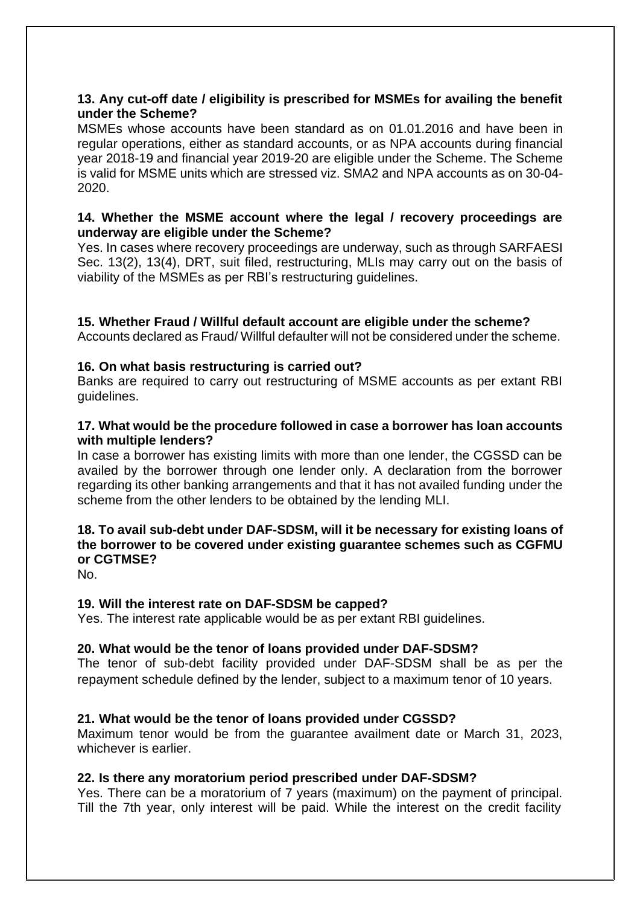## **13. Any cut-off date / eligibility is prescribed for MSMEs for availing the benefit under the Scheme?**

MSMEs whose accounts have been standard as on 01.01.2016 and have been in regular operations, either as standard accounts, or as NPA accounts during financial year 2018-19 and financial year 2019-20 are eligible under the Scheme. The Scheme is valid for MSME units which are stressed viz. SMA2 and NPA accounts as on 30-04- 2020.

### **14. Whether the MSME account where the legal / recovery proceedings are underway are eligible under the Scheme?**

Yes. In cases where recovery proceedings are underway, such as through SARFAESI Sec. 13(2), 13(4), DRT, suit filed, restructuring, MLIs may carry out on the basis of viability of the MSMEs as per RBI's restructuring guidelines.

## **15. Whether Fraud / Willful default account are eligible under the scheme?**

Accounts declared as Fraud/ Willful defaulter will not be considered under the scheme.

### **16. On what basis restructuring is carried out?**

Banks are required to carry out restructuring of MSME accounts as per extant RBI guidelines.

### **17. What would be the procedure followed in case a borrower has loan accounts with multiple lenders?**

In case a borrower has existing limits with more than one lender, the CGSSD can be availed by the borrower through one lender only. A declaration from the borrower regarding its other banking arrangements and that it has not availed funding under the scheme from the other lenders to be obtained by the lending MLI.

# **18. To avail sub-debt under DAF-SDSM, will it be necessary for existing loans of the borrower to be covered under existing guarantee schemes such as CGFMU or CGTMSE?**

No.

### **19. Will the interest rate on DAF-SDSM be capped?**

Yes. The interest rate applicable would be as per extant RBI guidelines.

# **20. What would be the tenor of loans provided under DAF-SDSM?**

The tenor of sub-debt facility provided under DAF-SDSM shall be as per the repayment schedule defined by the lender, subject to a maximum tenor of 10 years.

### **21. What would be the tenor of loans provided under CGSSD?**

Maximum tenor would be from the guarantee availment date or March 31, 2023, whichever is earlier.

### **22. Is there any moratorium period prescribed under DAF-SDSM?**

Yes. There can be a moratorium of 7 years (maximum) on the payment of principal. Till the 7th year, only interest will be paid. While the interest on the credit facility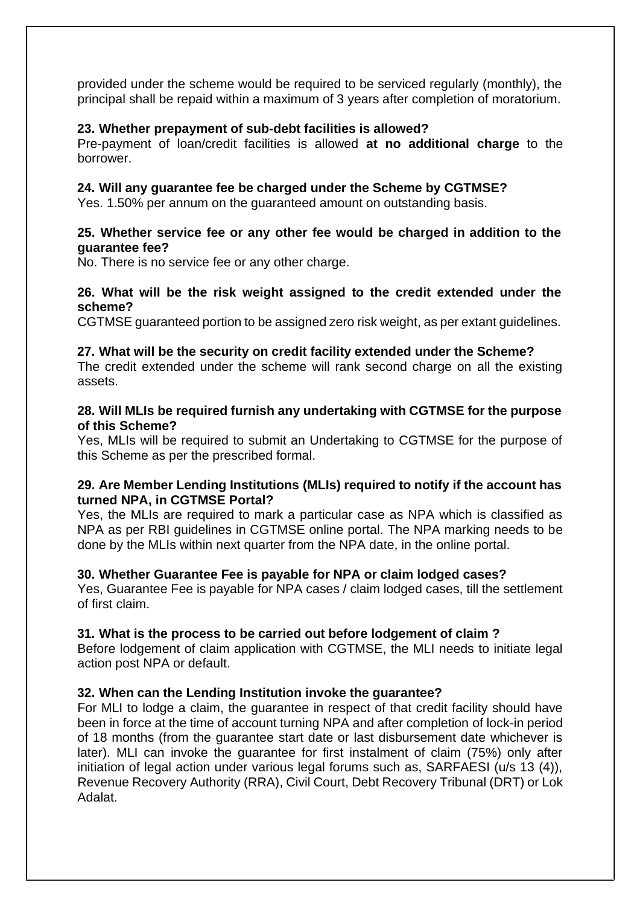provided under the scheme would be required to be serviced regularly (monthly), the principal shall be repaid within a maximum of 3 years after completion of moratorium.

#### **23. Whether prepayment of sub-debt facilities is allowed?**

Pre-payment of loan/credit facilities is allowed **at no additional charge** to the borrower.

#### **24. Will any guarantee fee be charged under the Scheme by CGTMSE?**

Yes. 1.50% per annum on the guaranteed amount on outstanding basis.

#### **25. Whether service fee or any other fee would be charged in addition to the guarantee fee?**

No. There is no service fee or any other charge.

### **26. What will be the risk weight assigned to the credit extended under the scheme?**

CGTMSE guaranteed portion to be assigned zero risk weight, as per extant guidelines.

#### **27. What will be the security on credit facility extended under the Scheme?**

The credit extended under the scheme will rank second charge on all the existing assets.

#### **28. Will MLIs be required furnish any undertaking with CGTMSE for the purpose of this Scheme?**

Yes, MLIs will be required to submit an Undertaking to CGTMSE for the purpose of this Scheme as per the prescribed formal.

### **29. Are Member Lending Institutions (MLIs) required to notify if the account has turned NPA, in CGTMSE Portal?**

Yes, the MLIs are required to mark a particular case as NPA which is classified as NPA as per RBI guidelines in CGTMSE online portal. The NPA marking needs to be done by the MLIs within next quarter from the NPA date, in the online portal.

#### **30. Whether Guarantee Fee is payable for NPA or claim lodged cases?**

Yes, Guarantee Fee is payable for NPA cases / claim lodged cases, till the settlement of first claim.

#### **31. What is the process to be carried out before lodgement of claim ?**

Before lodgement of claim application with CGTMSE, the MLI needs to initiate legal action post NPA or default.

#### **32. When can the Lending Institution invoke the guarantee?**

For MLI to lodge a claim, the guarantee in respect of that credit facility should have been in force at the time of account turning NPA and after completion of lock-in period of 18 months (from the guarantee start date or last disbursement date whichever is later). MLI can invoke the guarantee for first instalment of claim (75%) only after initiation of legal action under various legal forums such as, SARFAESI (u/s 13 (4)), Revenue Recovery Authority (RRA), Civil Court, Debt Recovery Tribunal (DRT) or Lok Adalat.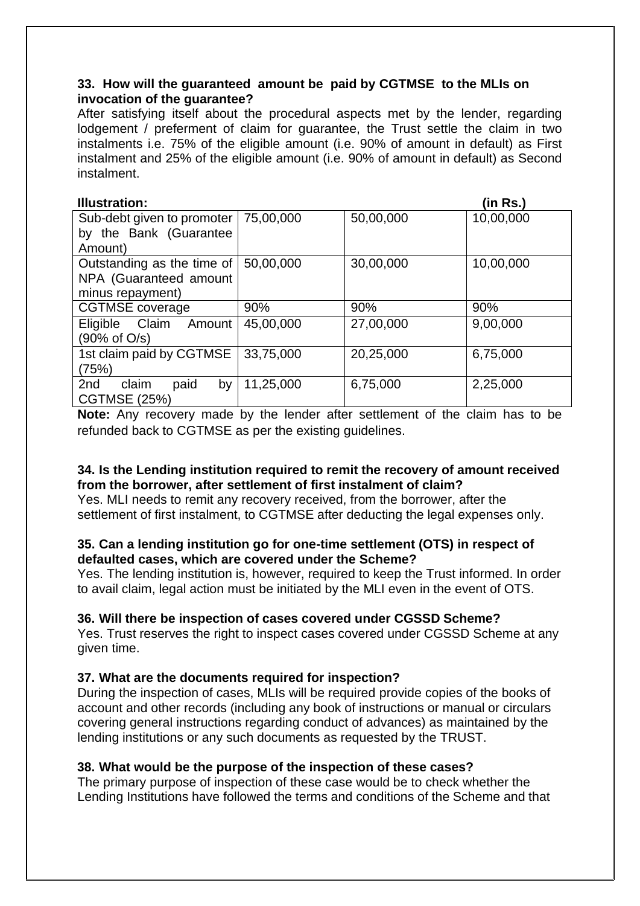### **33. How will the guaranteed amount be paid by CGTMSE to the MLIs on invocation of the guarantee?**

After satisfying itself about the procedural aspects met by the lender, regarding lodgement / preferment of claim for guarantee, the Trust settle the claim in two instalments i.e. 75% of the eligible amount (i.e. 90% of amount in default) as First instalment and 25% of the eligible amount (i.e. 90% of amount in default) as Second instalment.

| <b>Illustration:</b>        |           |           | (in Rs.)  |
|-----------------------------|-----------|-----------|-----------|
| Sub-debt given to promoter  | 75,00,000 | 50,00,000 | 10,00,000 |
| by the Bank (Guarantee      |           |           |           |
| Amount)                     |           |           |           |
| Outstanding as the time of  | 50,00,000 | 30,00,000 | 10,00,000 |
| NPA (Guaranteed amount      |           |           |           |
| minus repayment)            |           |           |           |
| <b>CGTMSE</b> coverage      | 90%       | 90%       | 90%       |
| Claim<br>Eligible<br>Amount | 45,00,000 | 27,00,000 | 9,00,000  |
| (90% of O/s)                |           |           |           |
| 1st claim paid by CGTMSE    | 33,75,000 | 20,25,000 | 6,75,000  |
| (75%)                       |           |           |           |
| claim<br>paid<br>2nd<br>by  | 11,25,000 | 6,75,000  | 2,25,000  |
| <b>CGTMSE (25%)</b>         |           |           |           |

**Note:** Any recovery made by the lender after settlement of the claim has to be refunded back to CGTMSE as per the existing guidelines.

### **34. Is the Lending institution required to remit the recovery of amount received from the borrower, after settlement of first instalment of claim?**

Yes. MLI needs to remit any recovery received, from the borrower, after the settlement of first instalment, to CGTMSE after deducting the legal expenses only.

# **35. Can a lending institution go for one-time settlement (OTS) in respect of defaulted cases, which are covered under the Scheme?**

Yes. The lending institution is, however, required to keep the Trust informed. In order to avail claim, legal action must be initiated by the MLI even in the event of OTS.

# **36. Will there be inspection of cases covered under CGSSD Scheme?**

Yes. Trust reserves the right to inspect cases covered under CGSSD Scheme at any given time.

### **37. What are the documents required for inspection?**

During the inspection of cases, MLIs will be required provide copies of the books of account and other records (including any book of instructions or manual or circulars covering general instructions regarding conduct of advances) as maintained by the lending institutions or any such documents as requested by the TRUST.

# **38. What would be the purpose of the inspection of these cases?**

The primary purpose of inspection of these case would be to check whether the Lending Institutions have followed the terms and conditions of the Scheme and that